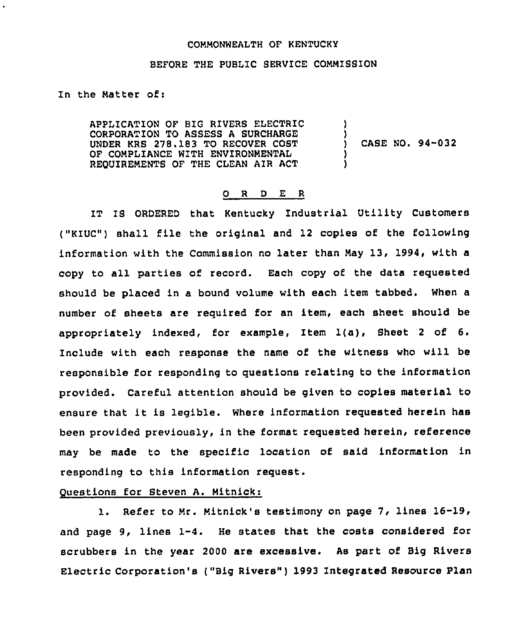#### COMMONWEALTH OF KENTUCKY

#### BEFORE THE PUBLIC SERVICE COMMISSION

In the Matter of:

APPL1CATION OF BIG RIVERS ELECTRIC CORPORATION TO ASSESS A SURCHARGE UNDER KRS 278.183 TO RECOVER COST OF COMPLIANCE WITH ENVIRONMENTAL REQUIREMENTS OF THE CLEAN AIR ACT ) ) CASE NO. 94-032 )

#### 0 <sup>R</sup> <sup>D</sup> E <sup>R</sup>

IT IS ORDERED that Kentucky Industrial Utility Customers ("KIUC") shall file the original and 12 copies of the following information with the Commission no later than May 13, 1994, with a copy to all parties of record. Each copy of the data requested should be placed in a bound volume with each item tabbed. When a number of sheets are required for an item, each sheet should be appropriately indexed, for example, Item l(a), Sheet <sup>2</sup> of 6. Include with each response the name of the witness who will be responsible for responding to questions relating to the information provided. Careful attention should be given to copies material to ensure that it is legible. Where information requested herein has been provided previously, in the format requested herein, reference may be made to the specific location of said information in responding to this information request.

## Questions for Steven A. Mitnick:

l. Refer to Mr. Mitnick's testimony on page 7, lines 16-19, and page 9, lines 1-4. He states that the costs considered for scrubbers in the year 2000 are excessive. As part of Big Rivers Electric Corporation's ("Big Rivers" ) 1993 Integrated Resource Plan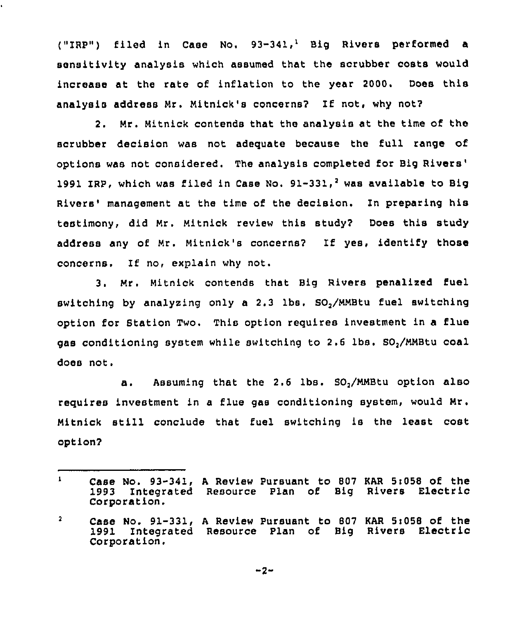("IRPv) filed in Case Mo, 93-341," Big Rivers performed a sensitivity analysis which assumed that the scrubber costs would increase at the rate of inflation to the year 2000. Does this analysis address Mr. Mitnick's concerns? If not, why not?

2. Mr. Mitnick contends that the analysis at the time of the scrubber decision was not adequate because the full range of options was not considered. The analysis completed for Big 1991 IRP, which was filed in Case No.  $91-331$ , was available to Big Rivers' management at the time of the decision. In preparing his testimony, did Mr. Mitnick review this study? Does this study address any of Mr. Mitnick's concerns? If yes, identify those concerns. If no, explain why not,

3. Mr. Mitnick contends that Big Rivers penalized fuel switching by analysing only a 2.3 lbs. SO,/MMBtu fuel switching option for Station Two. This option requires investment in a flue gas conditioning system while switching to 2,6 lbs. SO,/MMBtu coal does not.

a. Assuming that the 2.6 lbs. SO<sub>2</sub>/MMBtu option also requires investment in a flue gas conditioning system, would Mr. Nitnick still conclude that fuel switching is the least cost option?

 $\mathbf{1}$ Case No. 93-341, A Review Pursuant to 807 KAR 5:058 of the<br>1993 Integrated Resource Plan of Big Rivers Electric 1993 Integrated Resource Plan of Big Rivers Electric Corporation,

 $\mathbf{2}$ Case No. 91-331, <sup>A</sup> Review Pursuant to 807 KAR 5i058 of the Integrated Resource Plan of Big Rivers Electric Corporation.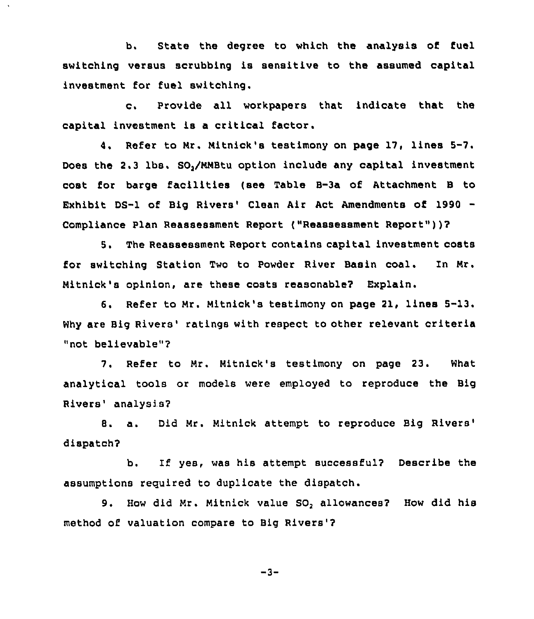b. State the degree to which the analysis of fuel switching versus scrubbing is sensitive to the assumed capital investment for fuel switching.

c. Provide all workpapers that indicate that the capital investment is a critical factor.

4. Refer to Nr. Nitnick's testimony on page 17, lines 5-7. Does the 2.3 lbs. SO,/NNBtu option include any capital investment cost for barge facilities (see Table B-3a of Attachment <sup>B</sup> to Exhibit DS-1 of Big Rivers' Clean Air Act Amendments of 1990 -Compliance Plan Reassessment Report ("Reassessment Report" ))?

5. The Reassessment Report contains capital investment costs for switching Station Two to Powder River Basin coal. In Nr. Nitnick's opinion, are these costs reasonable? Explain.

6. Refer to Mr. Mitnick's testimony on page 21, lines 5-13. Why are Big Rivers' ratings with respect to other relevant criteria "not believable"?

7. Refer to Mr. Mitnick's testimony on page 23. What analytical tools or models were employed to reproduce the Big Rivers' analysis?

8. a. Did Mr. Mitnick attempt to reproduce Big dispatch?

b, If yes, was his attempt successful? Describe the assumptions required to duplicate the dispatch.

9, How did Mr. Mitnick value SO, allowances? How did his method of valuation compare to Big Rivers'?

 $-3-$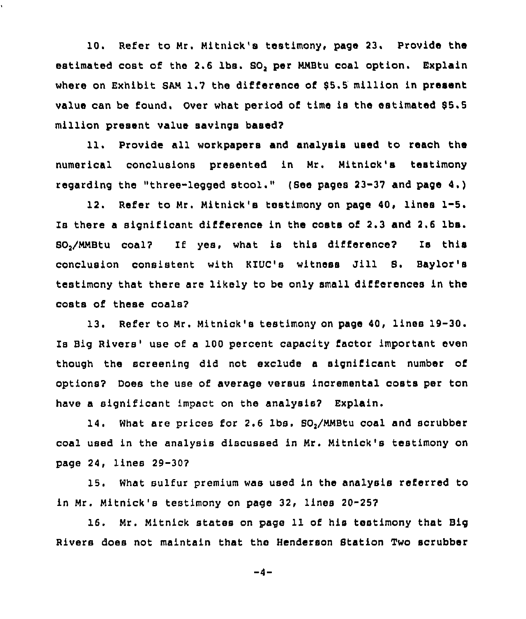10. Refer to Mr. Mitnick's testimony, page 23. Provide the estimated cost of the 2.6 lbs. SO, per MNBtu coal option. Explain where on Exhibit SAM 1.7 the difference of \$5.5 million in present value can be found. Over what period of time is the estimated 85.5 million present value savings based?

ll. Provide all workpapers and analysis used to reach the numerical conclusions presented in Mr, Mitnick's testimony regarding the "three-legged stool." {See pages 23-37 and page 4.)

12. Refer to Mr. Mitnick's testimony on page 40, lines 1-5. Is there a significant difference in the costs of 2.3 and 2.6 lbs. 80<sub>2</sub>/MMBtu coal? If yes, what is this difference? Is this conclusion consistent with KIUC's witness Jill 8. Baylor's testimony that there are likely to be only small differences in the costs of these coals?

13. Refer to Mr. Nitnick's testimony on page 40, lines 19-30. Is Big Rivers' use of a 100 percent capacity factor important even though the screening did not exclude a significant number of options? Does the use of average versus incremental costs per ton have a significant impact on the analysis? Explain.

14. What are prices for 2.6 lbs. SO<sub>2</sub>/MMBtu coal and scrubber coal used in the analysis discussed in Nr. Nitnick's testimony on page 24, lines 29-30?

15. What sulfur premium was used in the analysis referred to in Mr. Nitnick's testimony on page 32, lines 20-25?

16. Nr. Nitnick states on page 11 of his testimony that Big Rivers does not maintain that the Henderson Btation Two scrubber

 $-4-$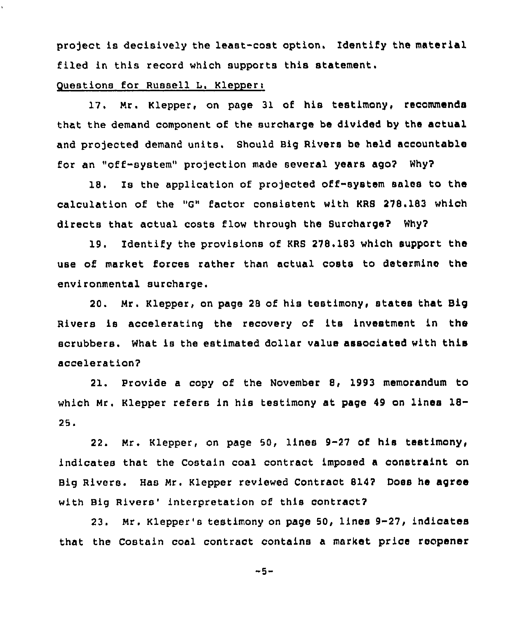project is decisively the least-cost option. Identify the material filed in this record which supports this statement.

# Questions for Russell L. Klepper:

17. Mr. Klepper, on page 31 of his testimony, recommends that the demand component of the surcharge be divided by the actual and projected demand units. Should Big Rivers be held accountable for an "off-system" projection made several years ago? Why?

18. Is the application of projected off-system sales to the calculation of the "G" factor consistent with KRS 278.183 which directs that actual costs flow through the Surcharge? Why?

19. Identify the provisions of KRS 278. 183 which support the use of market forces rather than actual costs to determine the environmental surcharge.

20. Mr. Klepper, on page 28 of his testimony, states that Big Rivers is accelerating the recovery of its investment in the scrubbers. What is the estimated dollar value associated with this acceleration?

21. provide a copy of the November 8, 1993 memorandum to which Mr. Klepper refers in his testimony at page <sup>49</sup> on lines 18-  $25.$ 

22. Mr. Klepper, on page 50, lines 9-27 of his testimony, indicates that the Costain coal contract imposed a constraint on Big Rivers. Has Mr. Klepper reviewed Contract 814? Does he agree with Big Rivers' interpretation of this contract?

23. Mr. Klepper's testimony on page 50, lines 9-27, indicates that the Costain coal contract contains a market price reopener

 $-5-$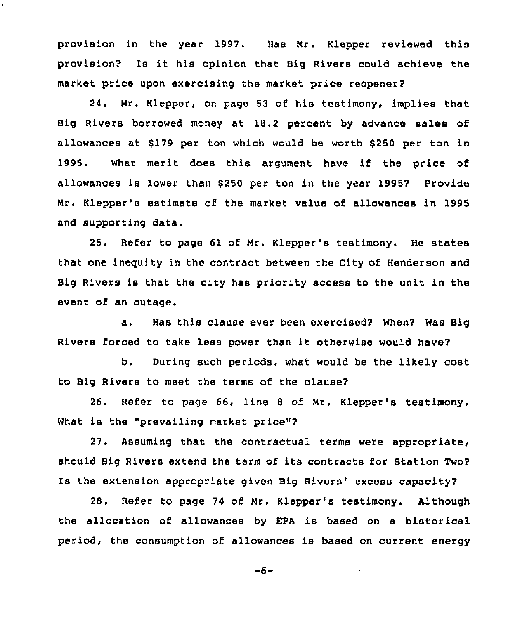provision in the year 1997. Has Mr. Klepper reviewed this provision? Is it his opinion that Big Rivers could achieve the market price upon exercising the market price reopener?

24. Mr. Klepper, on page 53 of his testimony, implies that Big Rivers borrowed money at 18.2 percent by advance sales of allowances at \$179 per ton which would be worth \$250 per ton in 1995. What merit does this argument have if the price of allowances is lower than \$250 per ton in the year 1995? Provide Mr. Klepper 's estimate of the market value of allowances in 1995 and supporting data.

25. Refer to page 61 of Mr. Klepper's testimony. He states that one ineguity in the contract between the City of Henderson and Big Rivers is that the city has priority access to the unit in the event of an outage.

a. Has this clause ever been exercised? When? Was Big Rivers forced to take less power than it otherwise would have?

b. During such periods, what would be the likely cost to Big Rivers to meet the terms of the clause?

26. Refer to page 66, line 8 of Mr. Klepper'e testimony. What is the "prevailing market price"?

27. Assuming that the contractual terms were appropriate, should Big Rivers extend the term of its contracts for Station Two? Is the extension appropriate given Big Rivers' excess capacity?

28. Refer to page 74 of Mr. Klepper's testimony. Although the allocation of allowances by EPA is based on a historical period, the consumption of allowances is based on current energy

 $-6-$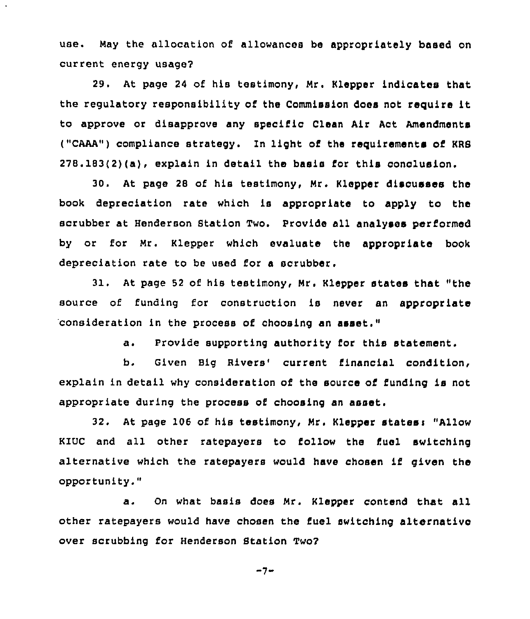use. May the allocation of allowances be appropriately based on current energy usage?

29. At page 24 of his testimony, Mr. Klepper indicates that the regulatory responsibility of the Commission does not require it to approve or disapprove any specific Clean Air Act Amendments ("CAAA") compliance strategy. In light of the requirements of KRS  $278.183(2)(a)$ , explain in detail the basis for this conclusion.

30. At page 28 of his testimony, Mr. Klepper disousses the book depreciation rate which is appropriate to apply to the scrubber at Henderson Station Two. provide all analyses performed by or for Mr. Klepper which evaluate the appropriate book depreciation rate to be used for a scrubber.

31. At page 52 of his testimony, Mr. Klepper states that "the source of funding for construction is never an appropriate 'consideration in the process of choosing an asset."

a. Provide supporting authority for this statement.

b. Given Big Rivers' current financial condition, explain in detail why consideration of the source of funding is not appropriate during the process of choosing an asset.

32. At page 106 of his testimony, Mr. Klepper states: "Allow KIUC and all other ratepayers to follow the fuel switching alternative which the ratepayers would have chosen if given the opportunity."

a. On what basis does Mr. Klepper contend that all other ratepayers would have chosen the fuel switching alternative over scrubbing for Henderson Station Two?

 $-7-$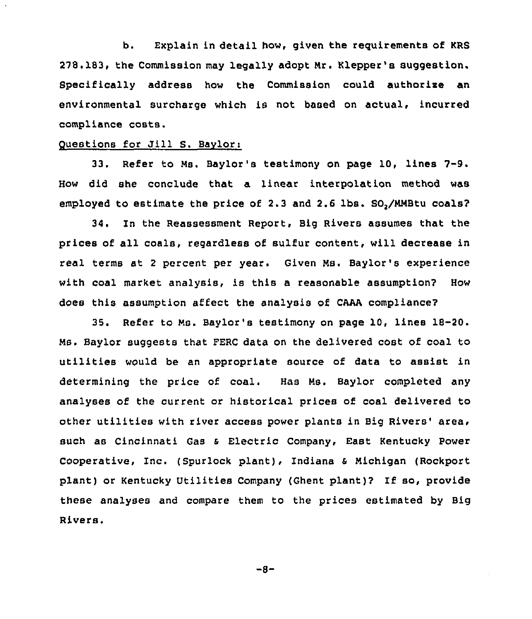b. Explain in detail how, given the reguirements of KRS 278.183, the Commission may legally adopt Nr. Klepper's suggestion. Specifically address how the Commission could authorise an environmental surcharge which is not based on actual, incurred compliance costs.

## Questions for Jill S. Baylori

33. Refer to Ms. Baylor's testimony on page 10, lines 7-9. How did she conclude that a linear interpolation method was employed to estimate the price of 2.3 and 2.6 lbs. SO,/NMBtu coals?

34. In the Reassessment Report, Big Rivers assumes that the prices of all coals, regardless of sulfur content, will decrease in real terms st <sup>2</sup> percent per year. Given Ns. Baylor's experience with coal market analysis, is this a reasonable assumption? How does this assumption affect the analysis of CMA compliance?

35. Refer to Ms. Baylor's testimony on page 10, lines 18-20. MS. Baylor suggests that FERC data on the delivered cost of coal to utilities would be an appropriate source of data to assist in determining the price of coal. Has Ms. Baylor completed any analyses of the current or historical prices of coal delivered to other utilities with river access power plants in Big Rivers' area, such as Cincinnati Gas s Electric Company, East Kentucky Power Cooperative, Inc. (Spurlock plant), Indiana s Michigan (Rockport plant) or Kentucky Utilities Company (Ghent plant)? If so, provide these analyses and compare them to the prices estimated by Big Rivers.

 $-8-$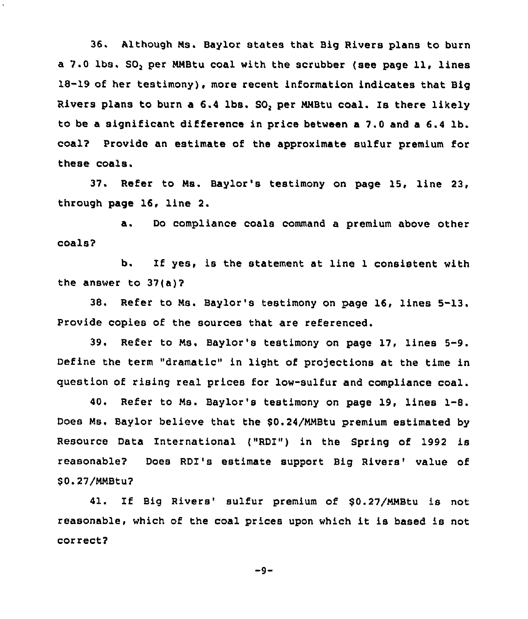36. Although Ns. Baylor states that Big Rivers plans to burn <sup>a</sup> 7.0 lbs. SO, per NNBtu coal with the scrubber (see page ll, lines 18-19 of her testimony), more recent information indicates that Big Rivers plans to burn a 6.4 lbs. SO, per NNBtu coal. Is there likely to be a significant difference in price between a 7.0 and a 6.4 lb. coal? Provide an estimate of the approximate sulfur premium for these coals.

37. Refer to Ms. Baylor's testimony on page 15, line 23, through page 16, line 2.

a. Do compliance coals command <sup>a</sup> premium above other coals?

b. If yes, is the statement at line <sup>1</sup> consistent with the answer to 37(a)?

38. Refer to Ns. Baylor's testimony on page 16, lines 5-13. Provide copies of the sources that are referenced.

39. Refer to Ns. Baylor's testimony on page 17, lines 5-9. Define the term "dramatic" in light of projections at the time in question of rising real prices for low-sulfur and compliance coal.

40. Refer to Ns. Baylor's testimony on page 19, lines 1-8. Does Ns. Baylor believe that the \$0.24/NMBtu premium estimated by Resource Data International ("RDI") in the Spring of 1992 is reasonable? Does RDI's estimate support Big Rivers' value of \$ 0.27/NNBtu?

41. If Big Rivers' sulfur premium of \$0.27/MMBtu is not reasonable, which of the coal prices upon which it is based is not correct?

 $-9-$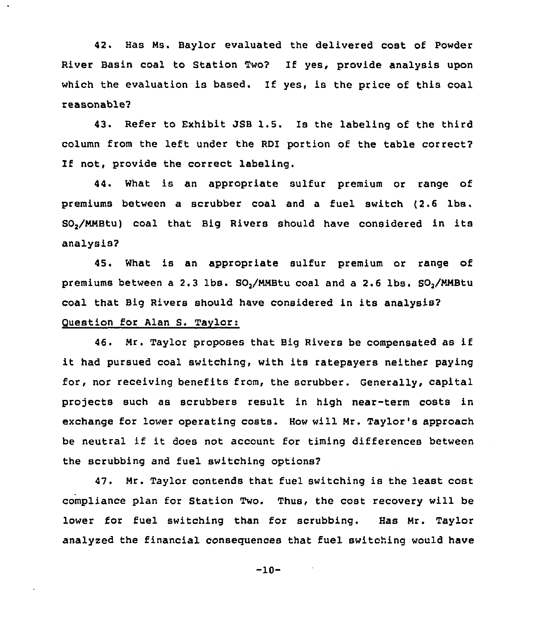42. Has Ms. Baylor evaluated the delivered cost of Powder River Basin coal to Station Two? If yes, provide analysis upon which the evaluation is based. If yes, is the price of this coal reasonable'?

43. Refer to Exhibit JSB 1.5. Is the labeling of the third column from the left under the RDI portion of the table correct? If not, provide the correct labeling.

44. What is an appropriate sulfur premium or range of premiums between a scrubber coal and a fuel switch (2.6 lbs. SO,/NNBtu) coal that Big Rivers should have considered in its analysis?

45. What is an appropriate sulfur premium or range of premiums between a 2.3 lbs. SO,/MNBtu coal and a 2.6 lbs. SO,/NNBtu coal that Big Rivers should have considered in its analysis? Question for Alan S. Taylor:

46. Mr. Taylor proposes that Big Rivers be compensated as if it had pursued coal switching, with its ratepayers neither paying for, nor receiving benefits from, the scrubber. Generally, capital projects such as scrubbers result in high near-term costs in exchange for lower operating costs. How will Nr. Taylor's approach be neutral if it does not account for timing differences between the scrubbing and fuel switching options?

47. Mr. Taylor contends that fuel switching is the least cost compliance plan for Station Two. Thus, the cost recovery will be lower for fuel switching than for scrubbing. Has Nr. Taylor analyzed the financial consequences that fuel switching would have

-10-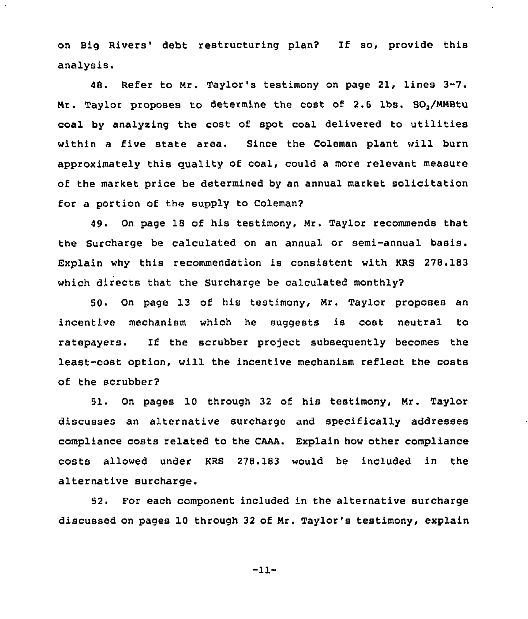on Big Rivers' debt restructuring plan? If so, provide this analysis.

48. Refer to Nr. Taylor's testimony on page 21, lines 3-7. Mr. Taylor proposes to determine the cost of 2.6 lbs. SO,/MNBtu coal by analyzing the cost of spot coal delivered to utilities within a five state area. Since the Coleman plant will burn approximately this quality of coal, could a more relevant measure of the market price be determined by an annual market solicitation for a portion of the supply to Coleman?

49. On page 18 of his testimony, Nr. Taylor recommends that the Surcharge be calculated on an annual or semi-annual basis. Explain why this recommendation is consistent with KRS 278.183 which directs that the Surcharge be calculated monthly2

50. On page 13 of his testimony, Nr. Taylor proposes an incentive mechanism which he suggests is cost neutral to ratepayers. If the scrubber project subsequently becomes the least-cost option, will the incentive mechanism reflect the costs of the scrubber2

51. On pages 10 through 32 of his testimony, Mr. Taylor discusses an alternative surcharge and specifically addresses compliance costs related to the CAAA. Explain how other compliance costs allowed under KRS 278.183 would be included in the alternative surcharge.

52, For each component included in the alternative surcharge discussed on pages 10 through 32 of Mr. Taylor's testimony, explain

-11-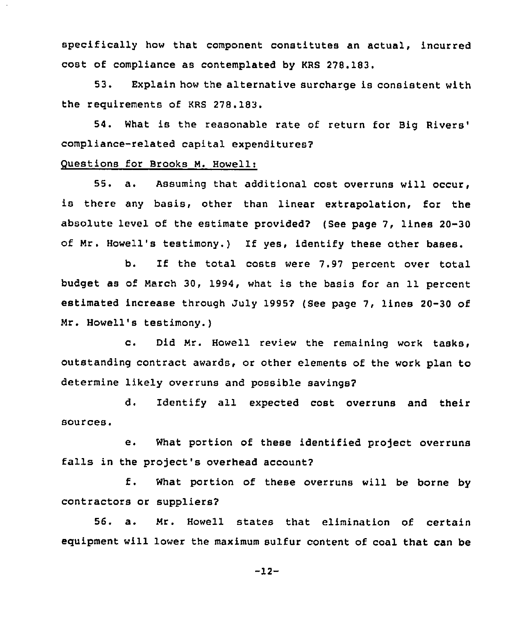specifically how that component constitutes an actual, incurred cost of compliance as contemplated by KRS 278.183.

53. Explain how the alternative surcharge is consistent with the requirements of KRS 278.183.

54. What is the reasonable rate of return for Big compliance-related capital expenditures?

# Questions for Brooks M. Howell:

55. a. Assuming that additional cost overruns will occur, is there any basis, other than linear extrapolation, for the absolute level of the estimate provided? (See page 7, lines 20-30 of Mr. Howell's testimony.) If yes, identify these other bases.

b. If the total costs were 7.97 percent over total budget as of March 30, 1994, what is the basis for an 11 percent estimated increase through July 1995? (See page 7, lines 20-30 of Mr. Howell's testimony.)

c. Did Mr. Howell review the remaining work tasks, outstanding contract awards, or other elements of the work plan to determine likely overruns and possible savings?

d. Identify all expected cost overruns and their sources.

e. What portion of these identified project overruns falls in the project's overhead account?

f. What portion of these overruns will be borne by contractors or suppliers?

56. a. Mr. Howell states that elimination of certain equipment will lower the maximum sulfur content of coal that can be

 $-12-$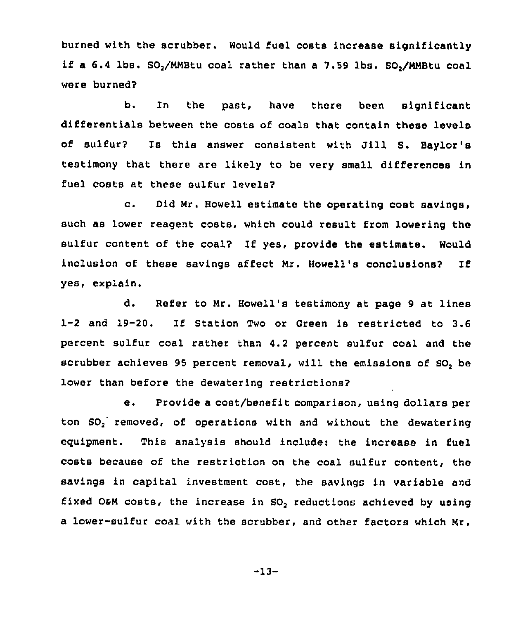burned with the scrubber. Would fuel costs increase significantly if a  $6.4$  lbs.  $SO_2/MM$ Btu coal rather than a  $7.59$  lbs.  $SO_2/MM$ Btu coal were burned?

b. ln the past, have there been significant differentials between the costs of coals that contain these levels of sulfur? Is this answer consistent with Jill S. Baylor's testimony that there are likely to be very small differences in fuel costs at these sulfur levels?

c. Did Mr. Howell estimate the operating cost savings, such as lower reagent costs, which could result from lowering the sulfur content of the coal? If yes, provide the estimate. Would inclusion of these savings affect Mr. Howell's conclusions? If yes, explain.

d. Refer to Nr. Howell's testimony at page 9 at lines 1-2 and 19-20. If Station Two or Green is restricted to 3.6 percent sulfur coal rather than 4.2 percent sulfur coal and the scrubber achieves 95 percent removal, will the emissions of SO, be lower than before the dewatering restrictions?

e. Provide a cost/benefit comparison, using dollars per ton SO, removed, of operations with and without the dewatering eguipment. This analysis should include: the increase in fuel costs because of the restriction on the coal sulfur content, the savings in capital investment cost, the savings in variable and fixed O&M costs, the increase in SO<sub>2</sub> reductions achieved by using a lower-sulfur coal with the scrubber, and other factors which Mr.

 $-13-$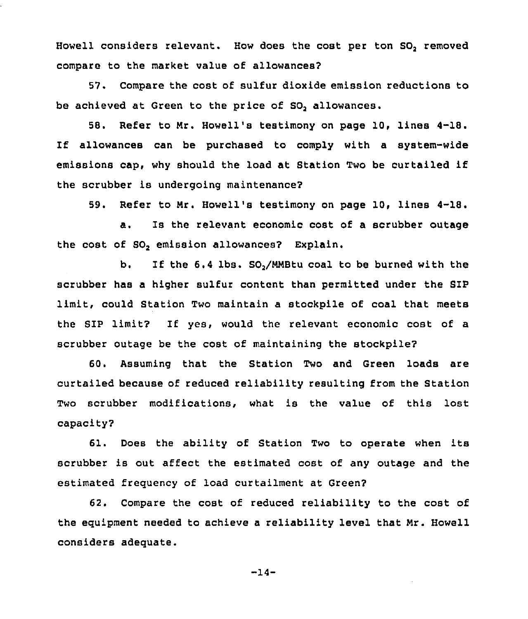Howell considers relevant. How does the cost per ton SO, removed compare to the market value of allowances?

57. Compare the cost of sulfur dioxide emission reductions to be achieved at Green to the price of SO, allowances.

58. Refer to Nr. Howell's testimony on page 10, lines 4-18. If allowances can be purchased to comply with <sup>a</sup> system-wide emissions cap, why should the load at Station Two be curtailed if the scrubber is undergoing maintenance2

59. Refer to Nr. Howell's testimony on page 10, lines 4-18.

a. Is the relevant economic cost of a scrubber outage the cost of SO, emission allowances? Explain.

b. If the 6.4 lbs. SO,/NNBtu coal to be burned with the scrubber has a higher sulfur content than permitted under the S1P limit, could Station Two maintain a stockpile of coal that meets the SIP limit? If yes, would the relevant economic cost of a scrubber outage be the cost of maintaining the stockpile?

60. Assuming that the Station Two and Green loads are curtailed because of reduced reliability resulting from the Station Two scrubber modifications, what is the value of this lost capacity2

61. Does the ability of Station Two to operate when its scrubber is out affect the estimated cost of any outage and the estimated frequency of load curtailment at Green?

62. Compare the cost of reduced reliability to the cost of the equipment needed to achieve a reliability level that Nr. Howell considers adequate.

-14-